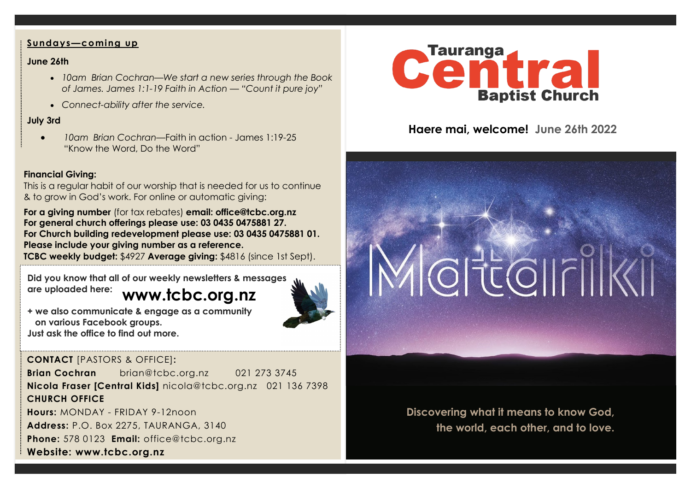### **Sundays—coming up**

### **June 26th**

- *10am Brian Cochran—We start a new series through the Book of James. James 1:1-19 Faith in Action — "Count it pure joy"*
- *Connect-ability after the service.*

## **July 3rd**

• *10am Brian Cochran—*Faith in action - James 1:19-25 "Know the Word, Do the Word"

# **Financial Giving:**

This is a regular habit of our worship that is needed for us to continue & to grow in God's work. For online or automatic giving:

**For a giving number** (for tax rebates) **email: office@tcbc.org.nz For general church offerings please use: 03 0435 0475881 27. For Church building redevelopment please use: 03 0435 0475881 01. Please include your giving number as a reference.**

**TCBC weekly budget:** \$4927 **Average giving:** \$4816 (since 1st Sept).

**www.tcbc.org.nz Did you know that all of our weekly newsletters & messages are uploaded here:** 



**+ we also communicate & engage as a community on various Facebook groups. Just ask the office to find out more.**

# **CONTACT** [PASTORS & OFFICE]**:**

**Brian Cochran** brian@tcbc.org.nz 021 273 3745 **Nicola Fraser [Central Kids]** nicola@tcbc.org.nz021 136 7398 **CHURCH OFFICE Hours:** MONDAY - FRIDAY 9-12noon **Address:** P.O. Box 2275, TAURANGA, 3140 **Phone:** 578 0123 **Email:** office@tcbc.org.nz **Website: www.tcbc.org.nz**



# **Haere mai, welcome! June 26th 2022**

# MOFEOIFIIKII

**Discovering what it means to know God, the world, each other, and to love.**